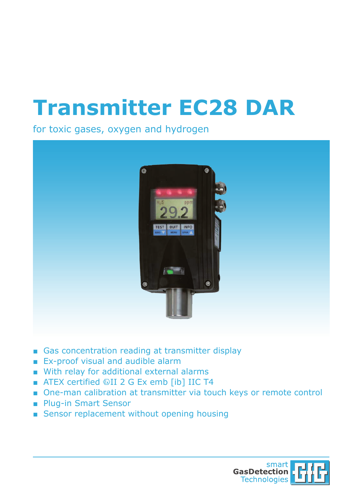## **Transmitter EC28 DAR**

for toxic gases, oxygen and hydrogen



- Gas concentration reading at transmitter display
- Ex-proof visual and audible alarm
- With relay for additional external alarms
- ATEX certified  $\textcircled{\tiny{\textcircled{\tiny{R}}}}$  II 2 G Ex emb [ib] IIC T4
- One-man calibration at transmitter via touch keys or remote control
- Plug-in Smart Sensor
- Sensor replacement without opening housing